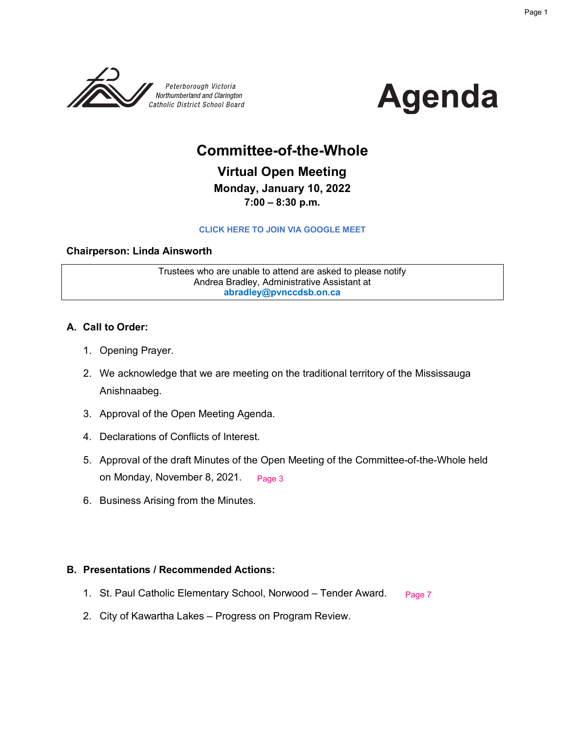



## **Committee-of-the-Whole**

**Virtual Open Meeting Monday, January 10, 2022 7:00 – 8:30 p.m.** 

#### **[CLICK HERE TO JOIN VIA GOOGLE MEET](meet.google.com/njj-pmpe-mqi)**

#### **Chairperson: Linda Ainsworth**

Trustees who are unable to attend are asked to please notify Andrea Bradley, Administrative Assistant at **abradley@pvnccdsb.on.ca**

#### **A. Call to Order:**

- 1. Opening Prayer.
- 2. We acknowledge that we are meeting on the traditional territory of the Mississauga Anishnaabeg.
- 3. Approval of the Open Meeting Agenda.
- 4. Declarations of Conflicts of Interest.
- 5. Approval of the draft Minutes of the Open Meeting of the Committee-of-the-Whole held on Monday, November 8, 2021. [Page 3](#page-2-0)
- 6. Business Arising from the Minutes.

#### **B. Presentations / Recommended Actions:**

- 1. St. Paul Catholic Elementary School, Norwood Tender Award. [Page 7](#page-6-0)
- 2. City of Kawartha Lakes Progress on Program Review.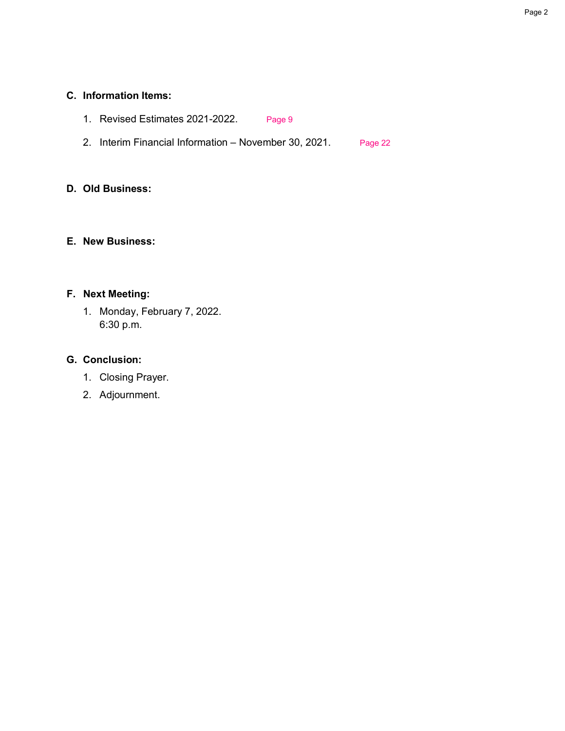#### **C. Information Items:**

- 1. Revised Estimates 2021-2022. [Page 9](#page-8-0)
- 2. Interim Financial Information November 30, 2021. [Page 22](#page-21-0)

#### **D. Old Business:**

#### **E. New Business:**

#### **F. Next Meeting:**

1. Monday, February 7, 2022. 6:30 p.m.

#### **G. Conclusion:**

- 1. Closing Prayer.
- 2. Adjournment.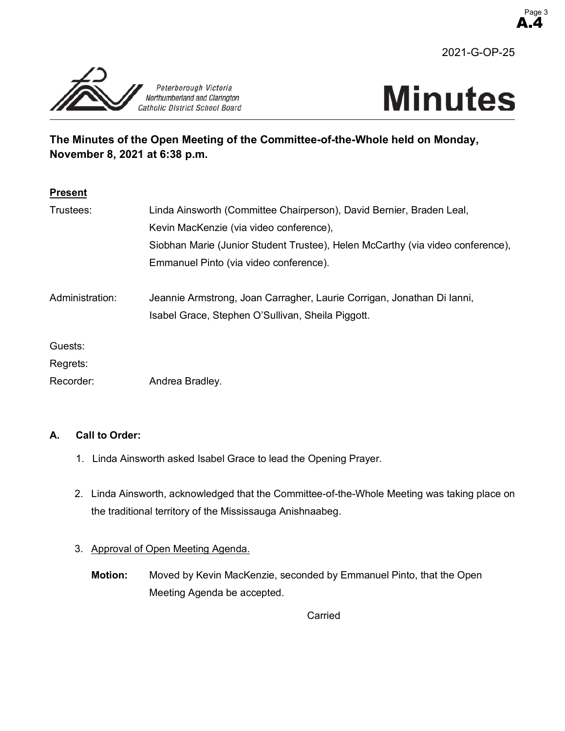

A.4 Page 3

<span id="page-2-0"></span>



## **The Minutes of the Open Meeting of the Committee-of-the-Whole held on Monday, November 8, 2021 at 6:38 p.m.**

| <b>Present</b>  |                                                                                                                             |  |  |  |
|-----------------|-----------------------------------------------------------------------------------------------------------------------------|--|--|--|
| Trustees:       | Linda Ainsworth (Committee Chairperson), David Bernier, Braden Leal,                                                        |  |  |  |
|                 | Kevin MacKenzie (via video conference),                                                                                     |  |  |  |
|                 | Siobhan Marie (Junior Student Trustee), Helen McCarthy (via video conference),                                              |  |  |  |
|                 | Emmanuel Pinto (via video conference).                                                                                      |  |  |  |
| Administration: | Jeannie Armstrong, Joan Carragher, Laurie Corrigan, Jonathan Di lanni,<br>Isabel Grace, Stephen O'Sullivan, Sheila Piggott. |  |  |  |
| Guests:         |                                                                                                                             |  |  |  |
| Regrets:        |                                                                                                                             |  |  |  |
| Recorder:       | Andrea Bradley.                                                                                                             |  |  |  |

#### **A. Call to Order:**

- 1. Linda Ainsworth asked Isabel Grace to lead the Opening Prayer.
- 2. Linda Ainsworth, acknowledged that the Committee-of-the-Whole Meeting was taking place on the traditional territory of the Mississauga Anishnaabeg.

#### 3. Approval of Open Meeting Agenda.

**Motion:** Moved by Kevin MacKenzie, seconded by Emmanuel Pinto, that the Open Meeting Agenda be accepted.

Carried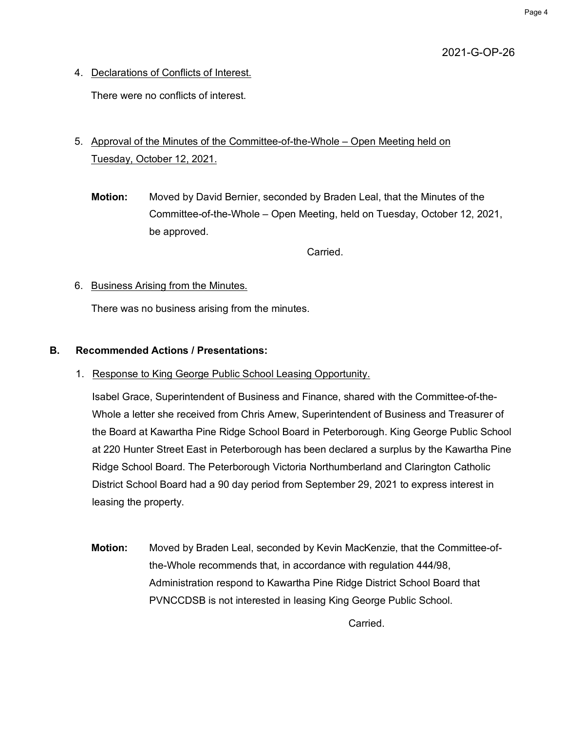## 2021-G-OP-26

4. Declarations of Conflicts of Interest.

There were no conflicts of interest.

## 5. Approval of the Minutes of the Committee-of-the-Whole – Open Meeting held on Tuesday, October 12, 2021.

**Motion:** Moved by David Bernier, seconded by Braden Leal, that the Minutes of the Committee-of-the-Whole – Open Meeting, held on Tuesday, October 12, 2021, be approved.

**Carried** 

#### 6. Business Arising from the Minutes.

There was no business arising from the minutes.

#### **B. Recommended Actions / Presentations:**

1. Response to King George Public School Leasing Opportunity.

Isabel Grace, Superintendent of Business and Finance, shared with the Committee-of-the-Whole a letter she received from Chris Arnew, Superintendent of Business and Treasurer of the Board at Kawartha Pine Ridge School Board in Peterborough. King George Public School at 220 Hunter Street East in Peterborough has been declared a surplus by the Kawartha Pine Ridge School Board. The Peterborough Victoria Northumberland and Clarington Catholic District School Board had a 90 day period from September 29, 2021 to express interest in leasing the property.

**Motion:** Moved by Braden Leal, seconded by Kevin MacKenzie, that the Committee-ofthe-Whole recommends that, in accordance with regulation 444/98, Administration respond to Kawartha Pine Ridge District School Board that PVNCCDSB is not interested in leasing King George Public School.

Carried.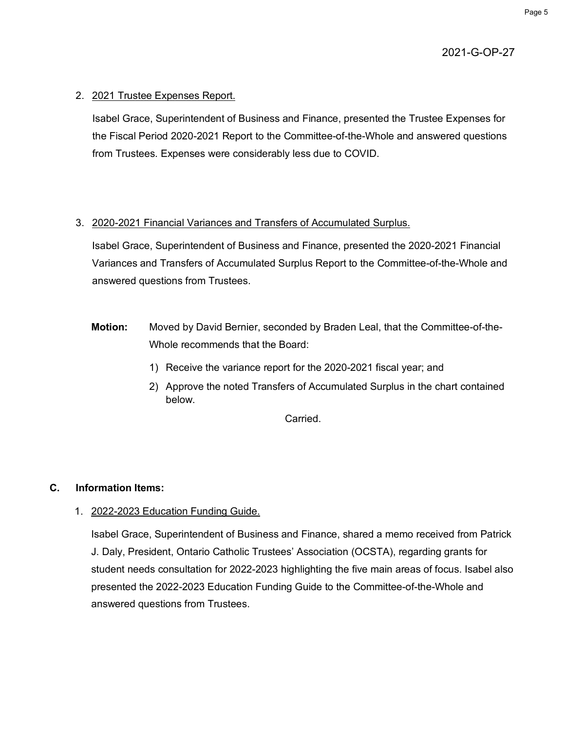#### 2. 2021 Trustee Expenses Report.

Isabel Grace, Superintendent of Business and Finance, presented the Trustee Expenses for the Fiscal Period 2020-2021 Report to the Committee-of-the-Whole and answered questions from Trustees. Expenses were considerably less due to COVID.

#### 3. 2020-2021 Financial Variances and Transfers of Accumulated Surplus.

Isabel Grace, Superintendent of Business and Finance, presented the 2020-2021 Financial Variances and Transfers of Accumulated Surplus Report to the Committee-of-the-Whole and answered questions from Trustees.

- **Motion:** Moved by David Bernier, seconded by Braden Leal, that the Committee-of-the-Whole recommends that the Board:
	- 1) Receive the variance report for the 2020-2021 fiscal year; and
	- 2) Approve the noted Transfers of Accumulated Surplus in the chart contained below.

**Carried** 

#### **C. Information Items:**

1. 2022-2023 Education Funding Guide.

Isabel Grace, Superintendent of Business and Finance, shared a memo received from Patrick J. Daly, President, Ontario Catholic Trustees' Association (OCSTA), regarding grants for student needs consultation for 2022-2023 highlighting the five main areas of focus. Isabel also presented the 2022-2023 Education Funding Guide to the Committee-of-the-Whole and answered questions from Trustees.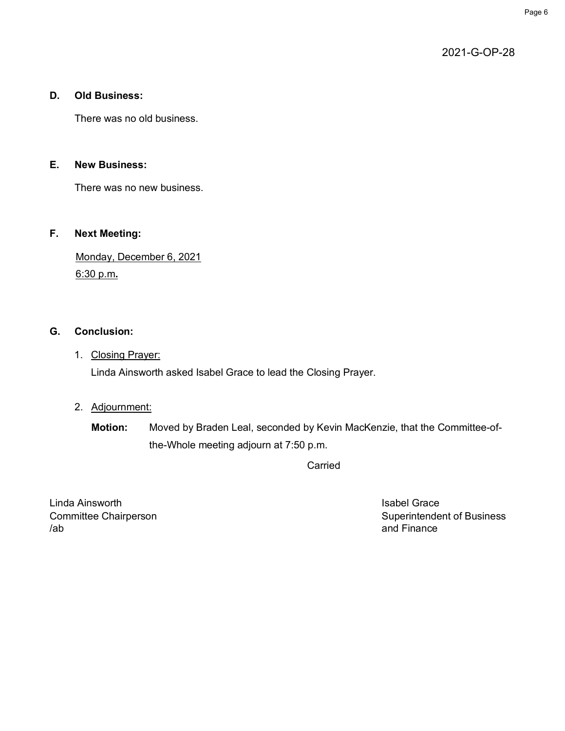2021-G-OP-28

## **D. Old Business:**

There was no old business.

#### **E. New Business:**

There was no new business.

## **F. Next Meeting:**

Monday, December 6, 2021 6:30 p.m**.**

## **G. Conclusion:**

## 1. Closing Prayer:

Linda Ainsworth asked Isabel Grace to lead the Closing Prayer.

## 2. Adjournment:

**Motion:** Moved by Braden Leal, seconded by Kevin MacKenzie, that the Committee-ofthe-Whole meeting adjourn at 7:50 p.m.

Carried

Linda Ainsworth **Isabel Grace** /ab and Finance

Committee Chairperson **Superintendent of Business** Superintendent of Business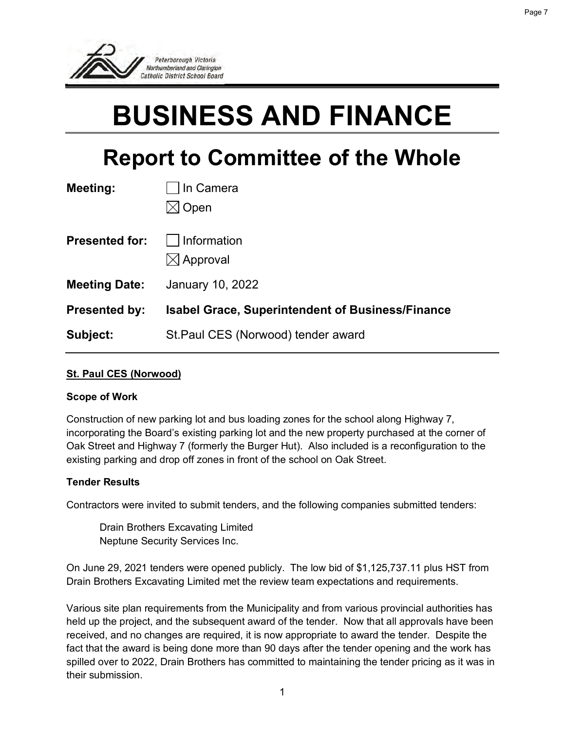<span id="page-6-0"></span>

# **BUSINESS AND FINANCE**

## **Report to Committee of the Whole**

| Meeting:              | In Camera                                               |
|-----------------------|---------------------------------------------------------|
|                       | Open                                                    |
| <b>Presented for:</b> | Information                                             |
|                       | $\boxtimes$ Approval                                    |
| <b>Meeting Date:</b>  | January 10, 2022                                        |
| <b>Presented by:</b>  | <b>Isabel Grace, Superintendent of Business/Finance</b> |
| Subject:              | St. Paul CES (Norwood) tender award                     |

#### **St. Paul CES (Norwood)**

#### **Scope of Work**

Construction of new parking lot and bus loading zones for the school along Highway 7, incorporating the Board's existing parking lot and the new property purchased at the corner of Oak Street and Highway 7 (formerly the Burger Hut). Also included is a reconfiguration to the existing parking and drop off zones in front of the school on Oak Street.

#### **Tender Results**

Contractors were invited to submit tenders, and the following companies submitted tenders:

Drain Brothers Excavating Limited Neptune Security Services Inc.

On June 29, 2021 tenders were opened publicly. The low bid of \$1,125,737.11 plus HST from Drain Brothers Excavating Limited met the review team expectations and requirements.

Various site plan requirements from the Municipality and from various provincial authorities has held up the project, and the subsequent award of the tender. Now that all approvals have been received, and no changes are required, it is now appropriate to award the tender. Despite the fact that the award is being done more than 90 days after the tender opening and the work has spilled over to 2022, Drain Brothers has committed to maintaining the tender pricing as it was in their submission.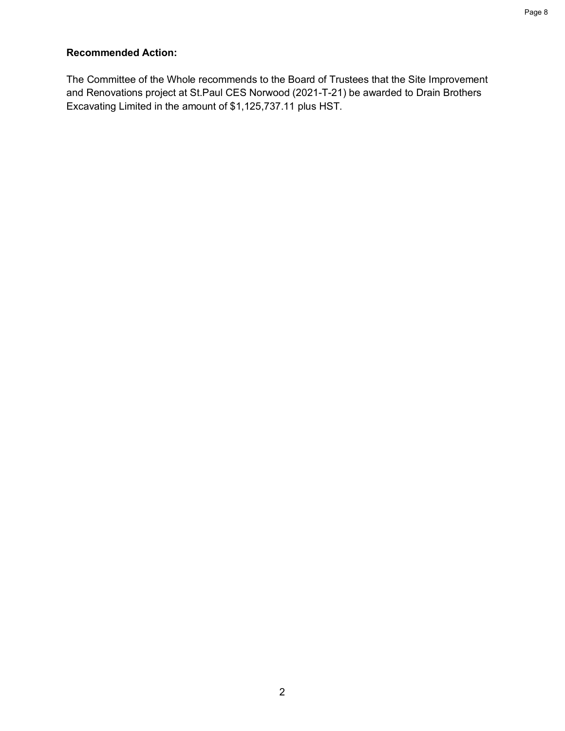## **Recommended Action:**

The Committee of the Whole recommends to the Board of Trustees that the Site Improvement and Renovations project at St.Paul CES Norwood (2021-T-21) be awarded to Drain Brothers Excavating Limited in the amount of \$1,125,737.11 plus HST.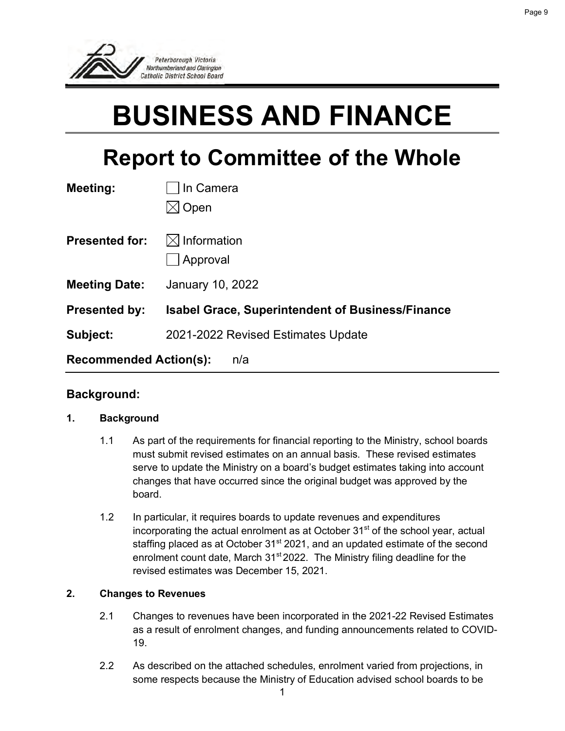<span id="page-8-0"></span>

# **BUSINESS AND FINANCE**

## **Report to Committee of the Whole**

| <b>Meeting:</b>               | In Camera                                               |
|-------------------------------|---------------------------------------------------------|
|                               | Open                                                    |
| <b>Presented for:</b>         | $\boxtimes$ Information<br>Approval                     |
| <b>Meeting Date:</b>          | January 10, 2022                                        |
| <b>Presented by:</b>          | <b>Isabel Grace, Superintendent of Business/Finance</b> |
| Subject:                      | 2021-2022 Revised Estimates Update                      |
| <b>Recommended Action(s):</b> | n/a                                                     |

#### **Background:**

#### **1. Background**

- 1.1 As part of the requirements for financial reporting to the Ministry, school boards must submit revised estimates on an annual basis. These revised estimates serve to update the Ministry on a board's budget estimates taking into account changes that have occurred since the original budget was approved by the board.
- 1.2 In particular, it requires boards to update revenues and expenditures incorporating the actual enrolment as at October  $31<sup>st</sup>$  of the school year, actual staffing placed as at October 31<sup>st</sup> 2021, and an updated estimate of the second enrolment count date, March 31<sup>st</sup> 2022. The Ministry filing deadline for the revised estimates was December 15, 2021.

#### **2. Changes to Revenues**

- 2.1 Changes to revenues have been incorporated in the 2021-22 Revised Estimates as a result of enrolment changes, and funding announcements related to COVID-19.
- 2.2 As described on the attached schedules, enrolment varied from projections, in some respects because the Ministry of Education advised school boards to be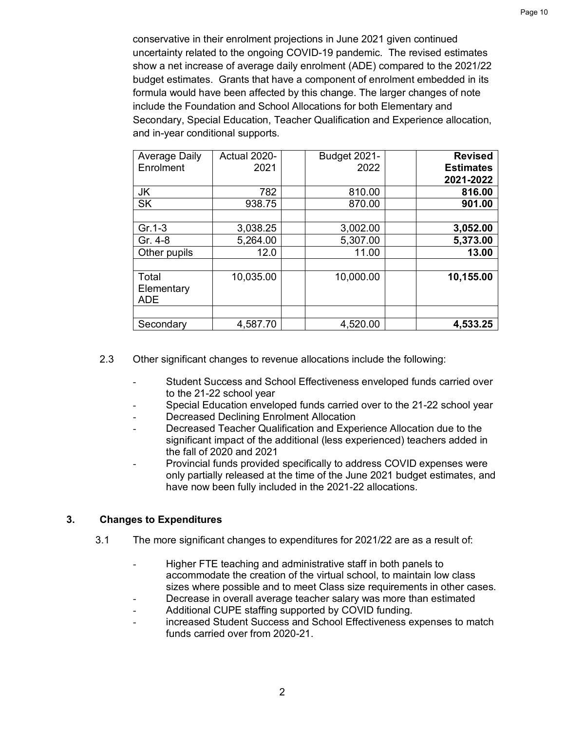conservative in their enrolment projections in June 2021 given continued uncertainty related to the ongoing COVID-19 pandemic. The revised estimates show a net increase of average daily enrolment (ADE) compared to the 2021/22 budget estimates. Grants that have a component of enrolment embedded in its formula would have been affected by this change. The larger changes of note include the Foundation and School Allocations for both Elementary and Secondary, Special Education, Teacher Qualification and Experience allocation, and in-year conditional supports.

| <b>Average Daily</b> | Actual 2020- | <b>Budget 2021-</b> | <b>Revised</b>   |
|----------------------|--------------|---------------------|------------------|
| Enrolment            | 2021         | 2022                | <b>Estimates</b> |
|                      |              |                     | 2021-2022        |
| JK                   | 782          | 810.00              | 816.00           |
| <b>SK</b>            | 938.75       | 870.00              | 901.00           |
|                      |              |                     |                  |
| $Gr.1-3$             | 3,038.25     | 3,002.00            | 3,052.00         |
| Gr. 4-8              | 5,264.00     | 5,307.00            | 5,373.00         |
| Other pupils         | 12.0         | 11.00               | 13.00            |
|                      |              |                     |                  |
| Total                | 10,035.00    | 10,000.00           | 10,155.00        |
| Elementary           |              |                     |                  |
| <b>ADE</b>           |              |                     |                  |
|                      |              |                     |                  |
| Secondary            | 4,587.70     | 4,520.00            | 4,533.25         |

- 2.3 Other significant changes to revenue allocations include the following:
	- Student Success and School Effectiveness enveloped funds carried over to the 21-22 school year
	- Special Education enveloped funds carried over to the 21-22 school year
	- Decreased Declining Enrolment Allocation
	- Decreased Teacher Qualification and Experience Allocation due to the significant impact of the additional (less experienced) teachers added in the fall of 2020 and 2021
	- Provincial funds provided specifically to address COVID expenses were only partially released at the time of the June 2021 budget estimates, and have now been fully included in the 2021-22 allocations.

#### **3. Changes to Expenditures**

- 3.1 The more significant changes to expenditures for 2021/22 are as a result of:
	- Higher FTE teaching and administrative staff in both panels to accommodate the creation of the virtual school, to maintain low class sizes where possible and to meet Class size requirements in other cases.
	- Decrease in overall average teacher salary was more than estimated Additional CUPE staffing supported by COVID funding.
	- increased Student Success and School Effectiveness expenses to match funds carried over from 2020-21.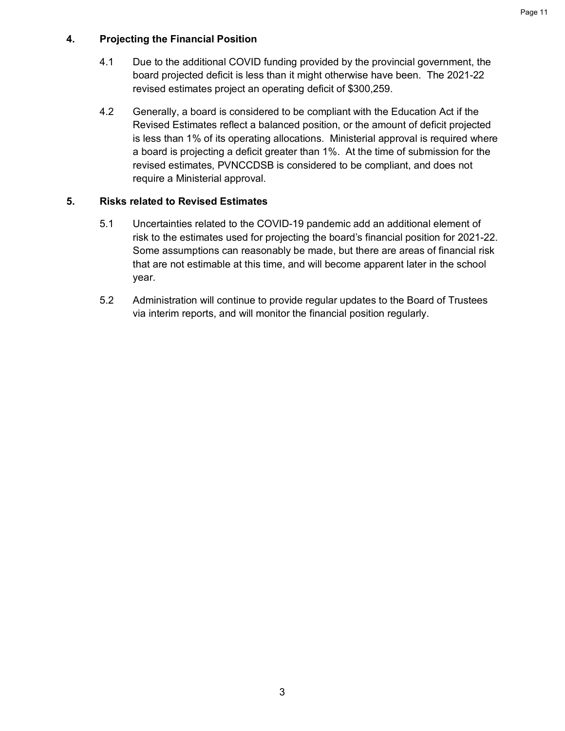#### **4. Projecting the Financial Position**

- 4.1 Due to the additional COVID funding provided by the provincial government, the board projected deficit is less than it might otherwise have been. The 2021-22 revised estimates project an operating deficit of \$300,259.
- 4.2 Generally, a board is considered to be compliant with the Education Act if the Revised Estimates reflect a balanced position, or the amount of deficit projected is less than 1% of its operating allocations. Ministerial approval is required where a board is projecting a deficit greater than 1%. At the time of submission for the revised estimates, PVNCCDSB is considered to be compliant, and does not require a Ministerial approval.

#### **5. Risks related to Revised Estimates**

- 5.1 Uncertainties related to the COVID-19 pandemic add an additional element of risk to the estimates used for projecting the board's financial position for 2021-22. Some assumptions can reasonably be made, but there are areas of financial risk that are not estimable at this time, and will become apparent later in the school year.
- 5.2 Administration will continue to provide regular updates to the Board of Trustees via interim reports, and will monitor the financial position regularly.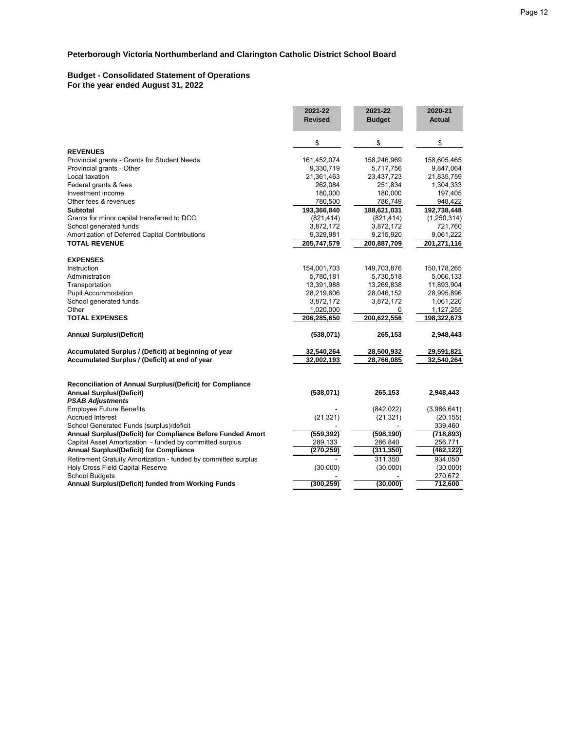#### **Budget - Consolidated Statement of Operations For the year ended August 31, 2022**

|                                                                                              | 2021-22<br><b>Revised</b> | 2021-22<br><b>Budget</b> | 2020-21<br>Actual |
|----------------------------------------------------------------------------------------------|---------------------------|--------------------------|-------------------|
|                                                                                              | \$                        | \$                       | \$                |
| <b>REVENUES</b>                                                                              |                           |                          |                   |
| Provincial grants - Grants for Student Needs                                                 | 161,452,074               | 158,246,969              | 158,605,465       |
| Provincial grants - Other                                                                    | 9,330,719                 | 5,717,756                | 9,847,064         |
| Local taxation                                                                               | 21,361,463                | 23,437,723               | 21,835,759        |
| Federal grants & fees                                                                        | 262,084                   | 251,834                  | 1,304,333         |
| Investment income                                                                            | 180,000                   | 180,000                  | 197,405           |
| Other fees & revenues                                                                        | 780,500                   | 786,749                  | 948,422           |
| <b>Subtotal</b>                                                                              | 193,366,840               | 188,621,031              | 192,738,448       |
| Grants for minor capital transferred to DCC                                                  | (821, 414)                | (821, 414)               | (1, 250, 314)     |
| School generated funds                                                                       | 3,872,172                 | 3,872,172                | 721,760           |
| Amortization of Deferred Capital Contributions                                               | 9,329,981                 | 9,215,920                | 9,061,222         |
| <b>TOTAL REVENUE</b>                                                                         | 205,747,579               | 200,887,709              | 201, 271, 116     |
| <b>EXPENSES</b>                                                                              |                           |                          |                   |
| Instruction                                                                                  | 154,001,703               | 149,703,876              | 150,178,265       |
| Administration                                                                               | 5,780,181                 | 5,730,518                | 5,066,133         |
| Transportation                                                                               | 13,391,988                | 13,269,838               | 11,893,904        |
| Pupil Accommodation                                                                          | 28,219,606                | 28,046,152               | 28,995,896        |
| School generated funds                                                                       | 3,872,172                 | 3,872,172                | 1,061,220         |
| Other                                                                                        | 1,020,000                 | 0                        | 1,127,255         |
| <b>TOTAL EXPENSES</b>                                                                        | 206,285,650               | 200,622,556              | 198,322,673       |
| <b>Annual Surplus/(Deficit)</b>                                                              | (538, 071)                | 265,153                  | 2,948,443         |
| Accumulated Surplus / (Deficit) at beginning of year                                         | 32,540,264                | 28,500,932               | 29,591,821        |
| Accumulated Surplus / (Deficit) at end of year                                               | 32,002,193                | 28,766,085               | 32,540,264        |
| Reconciliation of Annual Surplus/(Deficit) for Compliance<br><b>Annual Surplus/(Deficit)</b> | (538,071)                 | 265,153                  | 2,948,443         |
| <b>PSAB Adjustments</b>                                                                      |                           |                          |                   |
| <b>Employee Future Benefits</b>                                                              |                           | (842, 022)               | (3,986,641)       |
| <b>Accrued Interest</b>                                                                      | (21, 321)                 | (21, 321)                | (20, 155)         |
| School Generated Funds (surplus)/deficit                                                     |                           |                          | 339,460           |
| Annual Surplus/(Deficit) for Compliance Before Funded Amort                                  | (559, 392)                | (598, 190)               | (718, 893)        |
| Capital Asset Amortization - funded by committed surplus                                     | 289,133                   | 286,840                  | 256,771           |
| Annual Surplus/(Deficit) for Compliance                                                      | (270, 259)                | (311, 350)               | (462, 122)        |
| Retirement Gratuity Amortization - funded by committed surplus                               |                           | 311,350                  | 934,050           |
| Holy Cross Field Capital Reserve                                                             | (30,000)                  | (30,000)                 | (30,000)          |
| <b>School Budgets</b>                                                                        |                           |                          | 270,672           |
| Annual Surplus/(Deficit) funded from Working Funds                                           | (300, 259)                | (30,000)                 | 712,600           |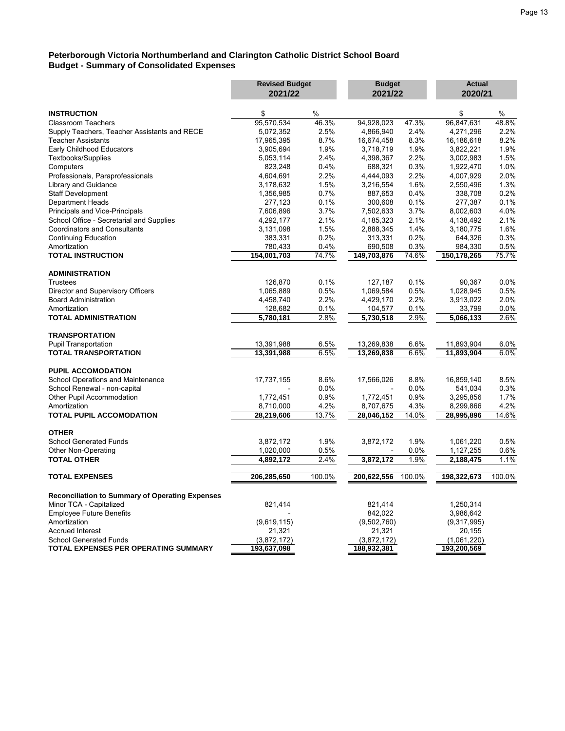#### **Peterborough Victoria Northumberland and Clarington Catholic District School Board Budget - Summary of Consolidated Expenses**

|                                                        | <b>Revised Budget</b> |         | <b>Budget</b> |         | <b>Actual</b> |        |
|--------------------------------------------------------|-----------------------|---------|---------------|---------|---------------|--------|
|                                                        | 2021/22               |         | 2021/22       |         | 2020/21       |        |
| <b>INSTRUCTION</b>                                     | \$                    | $\%$    |               |         | \$            | $\%$   |
| <b>Classroom Teachers</b>                              | 95,570,534            | 46.3%   | 94,928,023    | 47.3%   | 96,847,631    | 48.8%  |
| Supply Teachers, Teacher Assistants and RECE           | 5,072,352             | 2.5%    | 4,866,940     | 2.4%    | 4,271,296     | 2.2%   |
| <b>Teacher Assistants</b>                              | 17,965,395            | 8.7%    | 16,674,458    | 8.3%    | 16,186,618    | 8.2%   |
| Early Childhood Educators                              | 3,905,694             | 1.9%    | 3,718,719     | 1.9%    | 3,822,221     | 1.9%   |
| Textbooks/Supplies                                     | 5,053,114             | 2.4%    | 4,398,367     | 2.2%    | 3,002,983     | 1.5%   |
| Computers                                              | 823,248               | 0.4%    | 688,321       | 0.3%    | 1,922,470     | 1.0%   |
| Professionals, Paraprofessionals                       | 4,604,691             | 2.2%    | 4,444,093     | 2.2%    | 4,007,929     | 2.0%   |
| Library and Guidance                                   | 3,178,632             | 1.5%    | 3,216,554     | 1.6%    | 2,550,496     | 1.3%   |
| Staff Development                                      | 1,356,985             | 0.7%    | 887,653       | 0.4%    | 338,708       | 0.2%   |
| <b>Department Heads</b>                                | 277,123               | 0.1%    | 300,608       | 0.1%    | 277,387       | 0.1%   |
| Principals and Vice-Principals                         | 7,606,896             | 3.7%    | 7,502,633     | 3.7%    | 8,002,603     | 4.0%   |
| School Office - Secretarial and Supplies               | 4,292,177             | 2.1%    | 4,185,323     | 2.1%    | 4,138,492     | 2.1%   |
| <b>Coordinators and Consultants</b>                    |                       | 1.5%    |               | 1.4%    |               | 1.6%   |
|                                                        | 3,131,098             |         | 2,888,345     |         | 3,180,775     |        |
| <b>Continuing Education</b>                            | 383,331               | 0.2%    | 313,331       | 0.2%    | 644,326       | 0.3%   |
| Amortization                                           | 780,433               | 0.4%    | 690,508       | 0.3%    | 984,330       | 0.5%   |
| <b>TOTAL INSTRUCTION</b>                               | 154,001,703           | 74.7%   | 149,703,876   | 74.6%   | 150,178,265   | 75.7%  |
| <b>ADMINISTRATION</b>                                  |                       |         |               |         |               |        |
| <b>Trustees</b>                                        | 126,870               | 0.1%    | 127,187       | 0.1%    | 90.367        | 0.0%   |
| Director and Supervisory Officers                      | 1,065,889             | 0.5%    | 1,069,584     | 0.5%    | 1,028,945     | 0.5%   |
| <b>Board Administration</b>                            | 4,458,740             | 2.2%    | 4,429,170     | 2.2%    | 3,913,022     | 2.0%   |
| Amortization                                           | 128,682               | 0.1%    | 104,577       | 0.1%    | 33,799        | 0.0%   |
| <b>TOTAL ADMINISTRATION</b>                            | 5,780,181             | 2.8%    | 5,730,518     | 2.9%    | 5,066,133     | 2.6%   |
|                                                        |                       |         |               |         |               |        |
| <b>TRANSPORTATION</b>                                  |                       |         |               |         |               |        |
| <b>Pupil Transportation</b>                            | 13,391,988            | 6.5%    | 13,269,838    | 6.6%    | 11,893,904    | 6.0%   |
| <b>TOTAL TRANSPORTATION</b>                            | 13,391,988            | 6.5%    | 13,269,838    | 6.6%    | 11,893,904    | 6.0%   |
| <b>PUPIL ACCOMODATION</b>                              |                       |         |               |         |               |        |
| School Operations and Maintenance                      | 17,737,155            | 8.6%    | 17,566,026    | 8.8%    | 16,859,140    | 8.5%   |
| School Renewal - non-capital                           |                       | $0.0\%$ |               | 0.0%    | 541,034       | 0.3%   |
| Other Pupil Accommodation                              | 1,772,451             | 0.9%    | 1,772,451     | 0.9%    | 3,295,856     | 1.7%   |
| Amortization                                           | 8,710,000             | 4.2%    | 8,707,675     | 4.3%    | 8,299,866     | 4.2%   |
| <b>TOTAL PUPIL ACCOMODATION</b>                        | 28,219,606            | 13.7%   | 28,046,152    | 14.0%   | 28,995,896    | 14.6%  |
| <b>OTHER</b>                                           |                       |         |               |         |               |        |
|                                                        |                       |         |               |         |               |        |
| <b>School Generated Funds</b>                          | 3,872,172             | 1.9%    | 3,872,172     | 1.9%    | 1,061,220     | 0.5%   |
| Other Non-Operating                                    | 1,020,000             | 0.5%    |               | $0.0\%$ | 1,127,255     | 0.6%   |
| <b>TOTAL OTHER</b>                                     | 4,892,172             | 2.4%    | 3,872,172     | 1.9%    | 2,188,475     | 1.1%   |
| <b>TOTAL EXPENSES</b>                                  | 206,285,650           | 100.0%  | 200,622,556   | 100.0%  | 198,322,673   | 100.0% |
| <b>Reconciliation to Summary of Operating Expenses</b> |                       |         |               |         |               |        |
| Minor TCA - Capitalized                                | 821,414               |         | 821,414       |         | 1,250,314     |        |
| <b>Employee Future Benefits</b>                        |                       |         | 842,022       |         | 3,986,642     |        |
| Amortization                                           | (9,619,115)           |         | (9,502,760)   |         | (9,317,995)   |        |
| <b>Accrued Interest</b>                                | 21,321                |         | 21,321        |         | 20,155        |        |
| <b>School Generated Funds</b>                          | (3,872,172)           |         | (3,872,172)   |         | (1,061,220)   |        |
| TOTAL EXPENSES PER OPERATING SUMMARY                   | 193,637,098           |         | 188,932,381   |         | 193,200,569   |        |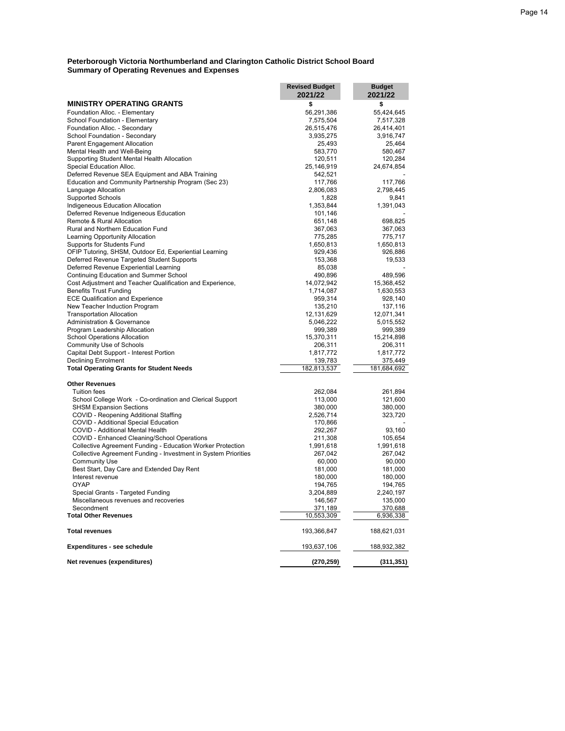|                                                                            | <b>Revised Budget</b> | <b>Budget</b>      |
|----------------------------------------------------------------------------|-----------------------|--------------------|
|                                                                            | 2021/22               | 2021/22            |
| <b>MINISTRY OPERATING GRANTS</b>                                           | \$                    | \$                 |
| Foundation Alloc. - Elementary                                             | 56,291,386            | 55,424,645         |
| School Foundation - Elementary                                             | 7,575,504             | 7,517,328          |
| Foundation Alloc. - Secondary                                              | 26,515,476            | 26,414,401         |
| School Foundation - Secondary                                              | 3,935,275             | 3,916,747          |
| <b>Parent Engagement Allocation</b>                                        | 25,493                | 25,464             |
| Mental Health and Well-Being                                               | 583,770               | 580,467            |
| Supporting Student Mental Health Allocation                                | 120,511               | 120,284            |
| Special Education Alloc.                                                   | 25,146,919            | 24,674,854         |
| Deferred Revenue SEA Equipment and ABA Training                            | 542,521               |                    |
| Education and Community Partnership Program (Sec 23)                       | 117,766               | 117,766            |
| Language Allocation                                                        | 2,806,083             | 2,798,445          |
| <b>Supported Schools</b>                                                   | 1,828<br>1,353,844    | 9,841<br>1,391,043 |
| Indigeneous Education Allocation<br>Deferred Revenue Indigeneous Education | 101,146               |                    |
| Remote & Rural Allocation                                                  | 651,148               | 698,825            |
| Rural and Northern Education Fund                                          |                       |                    |
| Learning Opportunity Allocation                                            | 367,063<br>775,285    | 367,063<br>775,717 |
| Supports for Students Fund                                                 | 1,650,813             | 1,650,813          |
| OFIP Tutoring, SHSM, Outdoor Ed, Experiential Learning                     | 929,436               | 926,886            |
| Deferred Revenue Targeted Student Supports                                 | 153,368               | 19,533             |
| Deferred Revenue Experiential Learning                                     | 85,038                |                    |
| Continuing Education and Summer School                                     | 490,896               | 489,596            |
| Cost Adjustment and Teacher Qualification and Experience,                  | 14,072,942            | 15,368,452         |
| <b>Benefits Trust Funding</b>                                              | 1,714,087             | 1,630,553          |
| <b>ECE Qualification and Experience</b>                                    | 959,314               | 928,140            |
| New Teacher Induction Program                                              | 135,210               | 137,116            |
| <b>Transportation Allocation</b>                                           | 12,131,629            | 12,071,341         |
| Administration & Governance                                                | 5,046,222             | 5,015,552          |
| Program Leadership Allocation                                              | 999,389               | 999,389            |
| <b>School Operations Allocation</b>                                        | 15,370,311            | 15,214,898         |
| Community Use of Schools                                                   | 206,311               | 206,311            |
| Capital Debt Support - Interest Portion                                    | 1,817,772             | 1,817,772          |
| <b>Declining Enrolment</b>                                                 | 139,783               | 375,449            |
| <b>Total Operating Grants for Student Needs</b>                            | 182,813,537           | 181,684,692        |
|                                                                            |                       |                    |
| <b>Other Revenues</b><br><b>Tuition fees</b>                               | 262,084               | 261,894            |
| School College Work - Co-ordination and Clerical Support                   | 113,000               | 121,600            |
| <b>SHSM Expansion Sections</b>                                             | 380,000               | 380,000            |
| COVID - Reopening Additional Staffing                                      | 2,526,714             | 323,720            |
| COVID - Additional Special Education                                       | 170,866               |                    |
| COVID - Additional Mental Health                                           | 292,267               | 93,160             |
| COVID - Enhanced Cleaning/School Operations                                | 211,308               | 105,654            |
| Collective Agreement Funding - Education Worker Protection                 | 1,991,618             | 1,991,618          |
| Collective Agreement Funding - Investment in System Priorities             | 267,042               | 267,042            |
| <b>Community Use</b>                                                       | 60,000                | 90,000             |
| Best Start, Day Care and Extended Day Rent                                 | 181,000               | 181,000            |
| Interest revenue                                                           | 180,000               | 180,000            |
| <b>OYAP</b>                                                                | 194,765               | 194,765            |
| Special Grants - Targeted Funding                                          | 3,204,889             | 2,240,197          |
| Miscellaneous revenues and recoveries                                      | 146,567               | 135,000            |
| Secondment                                                                 | 371,189               | 370,688            |
| <b>Total Other Revenues</b>                                                | 10,553,309            | 6,936,338          |
| <b>Total revenues</b>                                                      | 193,366,847           | 188,621,031        |
| Expenditures - see schedule                                                | 193,637,106           | 188,932,382        |
|                                                                            |                       |                    |
| Net revenues (expenditures)                                                | (270, 259)            | (311, 351)         |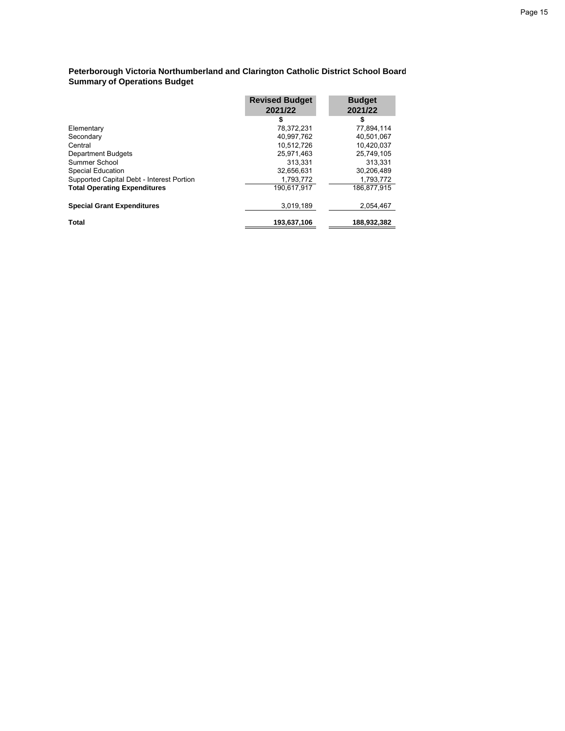#### **Peterborough Victoria Northumberland and Clarington Catholic District School Board Summary of Operations Budget**

|                                           | <b>Revised Budget</b> | <b>Budget</b> |
|-------------------------------------------|-----------------------|---------------|
|                                           | 2021/22               | 2021/22       |
|                                           | \$                    | \$            |
| Elementary                                | 78.372.231            | 77,894,114    |
| Secondary                                 | 40.997.762            | 40.501.067    |
| Central                                   | 10.512.726            | 10.420.037    |
| <b>Department Budgets</b>                 | 25,971,463            | 25,749,105    |
| Summer School                             | 313.331               | 313.331       |
| <b>Special Education</b>                  | 32.656.631            | 30,206,489    |
| Supported Capital Debt - Interest Portion | 1,793,772             | 1,793,772     |
| <b>Total Operating Expenditures</b>       | 190,617,917           | 186.877.915   |
| <b>Special Grant Expenditures</b>         | 3.019.189             | 2.054.467     |
| <b>Total</b>                              | 193.637.106           | 188,932,382   |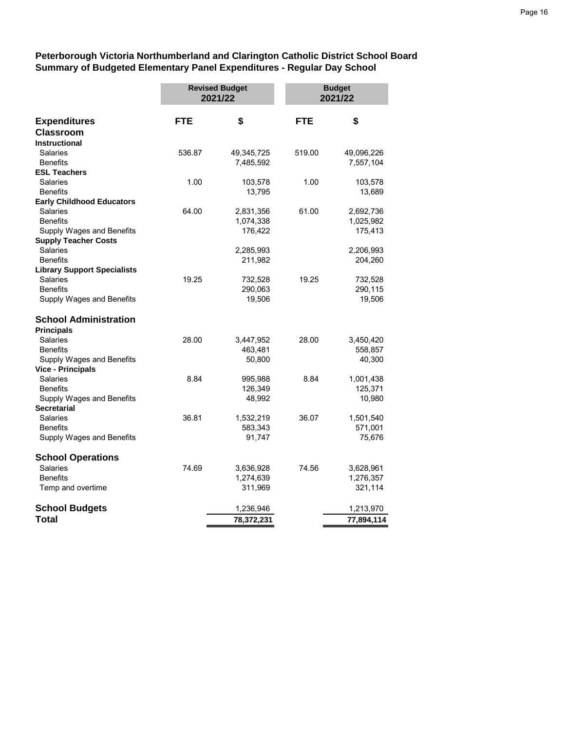**Peterborough Victoria Northumberland and Clarington Catholic District School Board Summary of Budgeted Elementary Panel Expenditures - Regular Day School**

|                                    | <b>Revised Budget</b><br>2021/22 |            | <b>Budget</b><br>2021/22 |            |
|------------------------------------|----------------------------------|------------|--------------------------|------------|
| <b>Expenditures</b>                | <b>FTE</b>                       | \$         | <b>FTE</b>               | \$         |
| <b>Classroom</b>                   |                                  |            |                          |            |
| <b>Instructional</b>               |                                  |            |                          |            |
| Salaries                           | 536.87                           | 49,345,725 | 519.00                   | 49,096,226 |
| <b>Benefits</b>                    |                                  | 7,485,592  |                          | 7,557,104  |
| <b>ESL Teachers</b>                |                                  |            |                          |            |
| <b>Salaries</b>                    | 1.00                             | 103,578    | 1.00                     | 103,578    |
| <b>Benefits</b>                    |                                  | 13,795     |                          | 13,689     |
| <b>Early Childhood Educators</b>   |                                  |            |                          |            |
| Salaries                           | 64.00                            | 2,831,356  | 61.00                    | 2,692,736  |
| <b>Benefits</b>                    |                                  | 1,074,338  |                          | 1,025,982  |
| Supply Wages and Benefits          |                                  | 176,422    |                          | 175,413    |
| <b>Supply Teacher Costs</b>        |                                  |            |                          |            |
| <b>Salaries</b>                    |                                  | 2,285,993  |                          | 2,206,993  |
| <b>Benefits</b>                    |                                  | 211,982    |                          | 204,260    |
| <b>Library Support Specialists</b> |                                  |            |                          |            |
| Salaries                           | 19.25                            | 732,528    | 19.25                    | 732,528    |
| <b>Benefits</b>                    |                                  | 290,063    |                          | 290,115    |
| Supply Wages and Benefits          |                                  | 19,506     |                          | 19,506     |
| <b>School Administration</b>       |                                  |            |                          |            |
| <b>Principals</b>                  |                                  |            |                          |            |
| <b>Salaries</b>                    | 28.00                            | 3,447,952  | 28.00                    | 3,450,420  |
| <b>Benefits</b>                    |                                  | 463,481    |                          | 558,857    |
| Supply Wages and Benefits          |                                  | 50,800     |                          | 40,300     |
| <b>Vice - Principals</b>           |                                  |            |                          |            |
| Salaries                           | 8.84                             | 995,988    | 8.84                     | 1,001,438  |
| <b>Benefits</b>                    |                                  | 126,349    |                          | 125,371    |
| Supply Wages and Benefits          |                                  | 48,992     |                          | 10,980     |
| <b>Secretarial</b>                 |                                  |            |                          |            |
| <b>Salaries</b>                    | 36.81                            | 1,532,219  | 36.07                    | 1,501,540  |
| <b>Benefits</b>                    |                                  | 583,343    |                          | 571,001    |
| Supply Wages and Benefits          |                                  | 91,747     |                          | 75,676     |
| <b>School Operations</b>           |                                  |            |                          |            |
| <b>Salaries</b>                    | 74.69                            | 3,636,928  | 74.56                    | 3,628,961  |
| <b>Benefits</b>                    |                                  | 1,274,639  |                          | 1,276,357  |
| Temp and overtime                  |                                  | 311,969    |                          | 321,114    |
| <b>School Budgets</b>              |                                  | 1,236,946  |                          | 1,213,970  |
| Total                              |                                  | 78,372,231 |                          | 77,894,114 |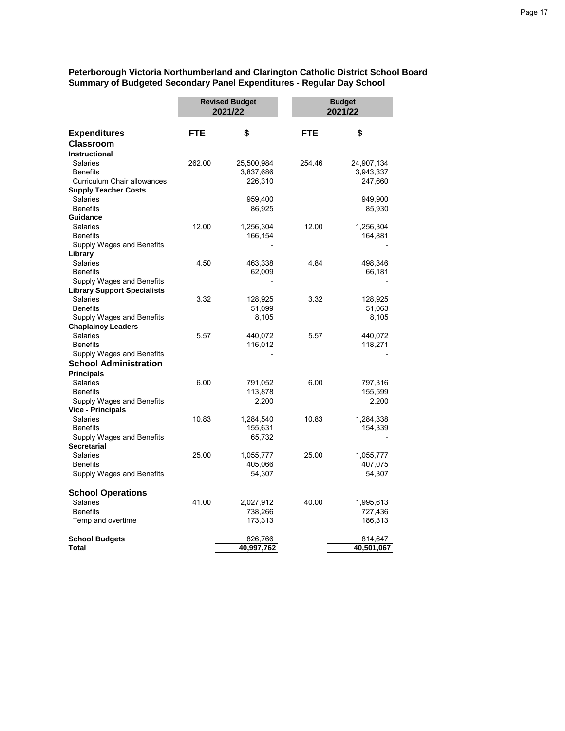**Peterborough Victoria Northumberland and Clarington Catholic District School Board Summary of Budgeted Secondary Panel Expenditures - Regular Day School**

|                                                       |            | <b>Revised Budget</b><br>2021/22 |            | <b>Budget</b><br>2021/22 |  |
|-------------------------------------------------------|------------|----------------------------------|------------|--------------------------|--|
| <b>Expenditures</b>                                   | <b>FTE</b> | \$                               | <b>FTE</b> | \$                       |  |
| <b>Classroom</b>                                      |            |                                  |            |                          |  |
| <b>Instructional</b>                                  |            |                                  |            |                          |  |
| Salaries                                              | 262.00     | 25,500,984                       | 254.46     | 24,907,134               |  |
| <b>Benefits</b>                                       |            | 3,837,686                        |            | 3,943,337                |  |
| Curriculum Chair allowances                           |            | 226,310                          |            | 247,660                  |  |
| <b>Supply Teacher Costs</b>                           |            |                                  |            |                          |  |
| Salaries                                              |            | 959,400                          |            | 949,900                  |  |
| <b>Benefits</b>                                       |            | 86,925                           |            | 85,930                   |  |
| Guidance                                              |            |                                  |            |                          |  |
| Salaries                                              | 12.00      | 1,256,304                        | 12.00      | 1,256,304                |  |
| <b>Benefits</b>                                       |            | 166,154                          |            | 164,881                  |  |
| Supply Wages and Benefits                             |            |                                  |            |                          |  |
| Library                                               |            |                                  |            |                          |  |
| Salaries                                              | 4.50       | 463,338                          | 4.84       | 498,346                  |  |
| <b>Benefits</b>                                       |            | 62,009                           |            | 66,181                   |  |
| Supply Wages and Benefits                             |            |                                  |            |                          |  |
| <b>Library Support Specialists</b><br><b>Salaries</b> | 3.32       | 128,925                          | 3.32       | 128,925                  |  |
| <b>Benefits</b>                                       |            | 51,099                           |            | 51,063                   |  |
| Supply Wages and Benefits                             |            | 8,105                            |            | 8,105                    |  |
| <b>Chaplaincy Leaders</b>                             |            |                                  |            |                          |  |
| Salaries                                              | 5.57       | 440,072                          | 5.57       | 440,072                  |  |
| <b>Benefits</b>                                       |            | 116,012                          |            | 118,271                  |  |
| Supply Wages and Benefits                             |            |                                  |            |                          |  |
| <b>School Administration</b>                          |            |                                  |            |                          |  |
| <b>Principals</b>                                     |            |                                  |            |                          |  |
| Salaries                                              | 6.00       | 791,052                          | 6.00       | 797,316                  |  |
| <b>Benefits</b>                                       |            | 113,878                          |            | 155,599                  |  |
| Supply Wages and Benefits                             |            | 2,200                            |            | 2,200                    |  |
| <b>Vice - Principals</b>                              |            |                                  |            |                          |  |
| Salaries                                              | 10.83      | 1,284,540                        | 10.83      | 1,284,338                |  |
| <b>Benefits</b>                                       |            | 155,631                          |            | 154,339                  |  |
| Supply Wages and Benefits                             |            | 65,732                           |            |                          |  |
| <b>Secretarial</b>                                    |            |                                  |            |                          |  |
| Salaries                                              | 25.00      | 1,055,777                        | 25.00      | 1,055,777                |  |
| <b>Benefits</b>                                       |            | 405,066                          |            | 407,075                  |  |
| Supply Wages and Benefits                             |            | 54,307                           |            | 54,307                   |  |
| <b>School Operations</b>                              |            |                                  |            |                          |  |
| <b>Salaries</b>                                       | 41.00      | 2,027,912                        | 40.00      | 1,995,613                |  |
| <b>Benefits</b>                                       |            | 738,266                          |            | 727,436                  |  |
| Temp and overtime                                     |            | 173,313                          |            | 186,313                  |  |
| <b>School Budgets</b>                                 |            | 826,766                          |            | 814,647                  |  |
| <b>Total</b>                                          |            | 40,997,762                       |            | 40,501,067               |  |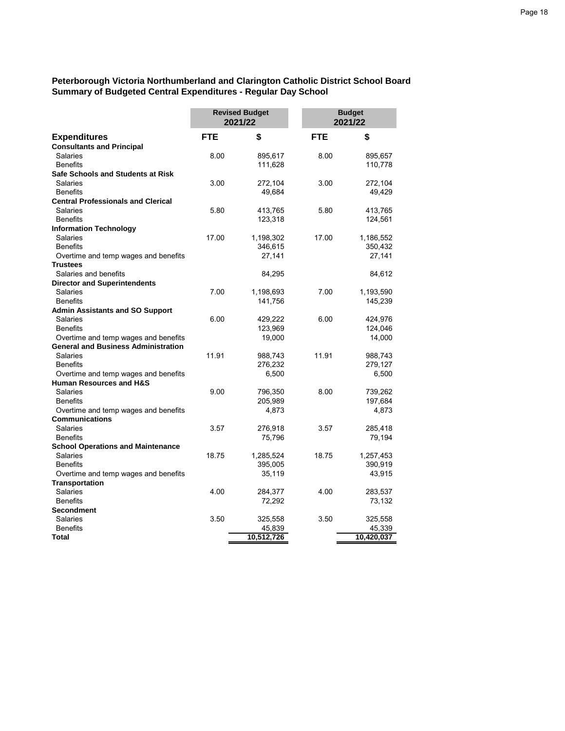**Peterborough Victoria Northumberland and Clarington Catholic District School Board Summary of Budgeted Central Expenditures - Regular Day School**

|                                            | <b>Revised Budget</b><br>2021/22 |                   | <b>Budget</b><br>2021/22 |                   |
|--------------------------------------------|----------------------------------|-------------------|--------------------------|-------------------|
| <b>Expenditures</b>                        | <b>FTE</b>                       | \$                | <b>FTE</b>               | \$                |
| <b>Consultants and Principal</b>           |                                  |                   |                          |                   |
| Salaries                                   | 8.00                             | 895,617           | 8.00                     | 895,657           |
| <b>Benefits</b>                            |                                  | 111,628           |                          | 110,778           |
| Safe Schools and Students at Risk          |                                  |                   |                          |                   |
| <b>Salaries</b>                            | 3.00                             | 272,104           | 3.00                     | 272,104           |
| <b>Benefits</b>                            |                                  | 49,684            |                          | 49,429            |
| <b>Central Professionals and Clerical</b>  |                                  |                   |                          |                   |
| Salaries                                   | 5.80                             | 413,765           | 5.80                     | 413,765           |
| <b>Benefits</b>                            |                                  | 123,318           |                          | 124,561           |
| <b>Information Technology</b>              |                                  |                   |                          |                   |
| <b>Salaries</b><br><b>Benefits</b>         | 17.00                            | 1,198,302         | 17.00                    | 1,186,552         |
| Overtime and temp wages and benefits       |                                  | 346,615<br>27,141 |                          | 350,432<br>27,141 |
| <b>Trustees</b>                            |                                  |                   |                          |                   |
| Salaries and benefits                      |                                  | 84,295            |                          | 84,612            |
| <b>Director and Superintendents</b>        |                                  |                   |                          |                   |
| <b>Salaries</b>                            | 7.00                             | 1,198,693         | 7.00                     | 1,193,590         |
| <b>Benefits</b>                            |                                  | 141,756           |                          | 145,239           |
| <b>Admin Assistants and SO Support</b>     |                                  |                   |                          |                   |
| Salaries                                   | 6.00                             | 429,222           | 6.00                     | 424,976           |
| <b>Benefits</b>                            |                                  | 123,969           |                          | 124,046           |
| Overtime and temp wages and benefits       |                                  | 19,000            |                          | 14,000            |
| <b>General and Business Administration</b> |                                  |                   |                          |                   |
| <b>Salaries</b>                            | 11.91                            | 988,743           | 11.91                    | 988,743           |
| <b>Benefits</b>                            |                                  | 276,232           |                          | 279,127           |
| Overtime and temp wages and benefits       |                                  | 6,500             |                          | 6,500             |
| <b>Human Resources and H&amp;S</b>         |                                  |                   |                          |                   |
| <b>Salaries</b>                            | 9.00                             | 796,350           | 8.00                     | 739,262           |
| <b>Benefits</b>                            |                                  | 205,989           |                          | 197,684           |
| Overtime and temp wages and benefits       |                                  | 4,873             |                          | 4,873             |
| <b>Communications</b><br><b>Salaries</b>   | 3.57                             |                   | 3.57                     | 285,418           |
| <b>Benefits</b>                            |                                  | 276,918<br>75,796 |                          | 79,194            |
| <b>School Operations and Maintenance</b>   |                                  |                   |                          |                   |
| <b>Salaries</b>                            | 18.75                            | 1,285,524         | 18.75                    | 1,257,453         |
| <b>Benefits</b>                            |                                  | 395,005           |                          | 390,919           |
| Overtime and temp wages and benefits       |                                  | 35,119            |                          | 43,915            |
| <b>Transportation</b>                      |                                  |                   |                          |                   |
| Salaries                                   | 4.00                             | 284,377           | 4.00                     | 283,537           |
| <b>Benefits</b>                            |                                  | 72,292            |                          | 73,132            |
| <b>Secondment</b>                          |                                  |                   |                          |                   |
| <b>Salaries</b>                            | 3.50                             | 325,558           | 3.50                     | 325,558           |
| <b>Benefits</b>                            |                                  | 45,839            |                          | 45,339            |
| <b>Total</b>                               |                                  | 10,512,726        |                          | 10,420,037        |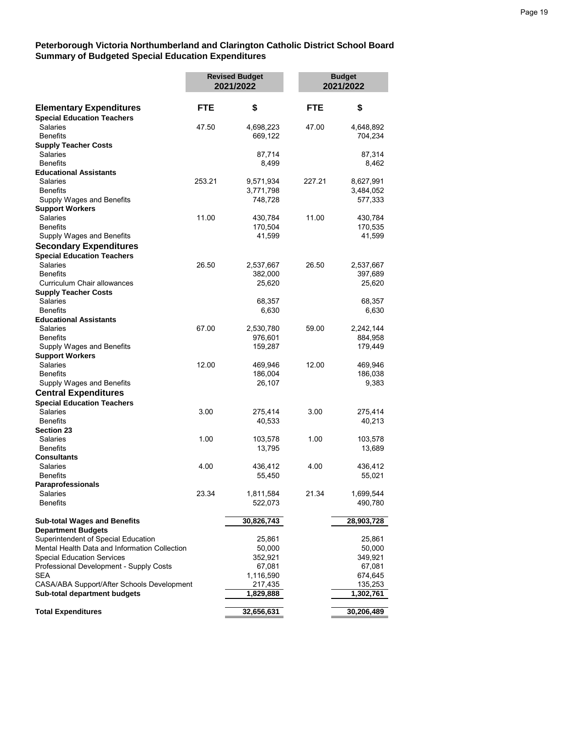#### **Peterborough Victoria Northumberland and Clarington Catholic District School Board Summary of Budgeted Special Education Expenditures**

|                                               |            | <b>Revised Budget</b><br>2021/2022 |            | <b>Budget</b><br>2021/2022 |
|-----------------------------------------------|------------|------------------------------------|------------|----------------------------|
| <b>Elementary Expenditures</b>                | <b>FTE</b> | \$                                 | <b>FTE</b> | \$                         |
| <b>Special Education Teachers</b>             |            |                                    |            |                            |
| Salaries                                      | 47.50      | 4,698,223                          | 47.00      | 4,648,892                  |
| <b>Benefits</b>                               |            | 669,122                            |            | 704,234                    |
| <b>Supply Teacher Costs</b>                   |            |                                    |            |                            |
| Salaries                                      |            | 87,714                             |            | 87,314                     |
| <b>Benefits</b>                               |            | 8,499                              |            | 8,462                      |
| <b>Educational Assistants</b>                 |            |                                    |            |                            |
| Salaries                                      | 253.21     | 9,571,934                          | 227.21     | 8,627,991                  |
| <b>Benefits</b>                               |            | 3,771,798                          |            | 3,484,052                  |
| Supply Wages and Benefits                     |            | 748,728                            |            | 577,333                    |
| <b>Support Workers</b>                        |            |                                    |            |                            |
| <b>Salaries</b>                               | 11.00      | 430,784                            | 11.00      | 430,784                    |
| <b>Benefits</b>                               |            | 170,504                            |            | 170,535                    |
| Supply Wages and Benefits                     |            | 41,599                             |            | 41,599                     |
| <b>Secondary Expenditures</b>                 |            |                                    |            |                            |
| <b>Special Education Teachers</b>             |            |                                    |            |                            |
| Salaries                                      | 26.50      | 2,537,667                          | 26.50      | 2,537,667                  |
| <b>Benefits</b>                               |            | 382,000                            |            | 397,689                    |
| Curriculum Chair allowances                   |            | 25,620                             |            | 25,620                     |
| <b>Supply Teacher Costs</b>                   |            |                                    |            |                            |
| Salaries                                      |            | 68,357                             |            | 68,357                     |
| <b>Benefits</b>                               |            | 6,630                              |            | 6,630                      |
| <b>Educational Assistants</b>                 |            |                                    |            |                            |
| Salaries                                      | 67.00      | 2,530,780                          | 59.00      | 2,242,144                  |
| <b>Benefits</b>                               |            | 976,601                            |            | 884,958                    |
| Supply Wages and Benefits                     |            | 159,287                            |            | 179,449                    |
| <b>Support Workers</b>                        |            |                                    |            |                            |
| Salaries                                      | 12.00      | 469,946                            | 12.00      | 469,946                    |
| <b>Benefits</b>                               |            | 186,004                            |            | 186,038                    |
| Supply Wages and Benefits                     |            | 26,107                             |            | 9,383                      |
| <b>Central Expenditures</b>                   |            |                                    |            |                            |
| <b>Special Education Teachers</b>             |            |                                    |            |                            |
| Salaries                                      | 3.00       | 275,414                            | 3.00       | 275,414                    |
| <b>Benefits</b>                               |            | 40,533                             |            | 40,213                     |
| <b>Section 23</b>                             |            |                                    |            |                            |
| Salaries                                      | 1.00       | 103,578                            | 1.00       | 103,578                    |
| <b>Benefits</b>                               |            | 13,795                             |            | 13,689                     |
| Consultants                                   |            |                                    |            |                            |
| Salaries                                      | 4.00       | 436,412                            | 4.00       | 436,412                    |
| <b>Benefits</b>                               |            | 55,450                             |            | 55,021                     |
| Paraprofessionals                             |            |                                    |            |                            |
| Salaries                                      | 23.34      | 1,811,584                          | 21.34      | 1,699,544                  |
| <b>Benefits</b>                               |            | 522,073                            |            | 490,780                    |
| <b>Sub-total Wages and Benefits</b>           |            | 30,826,743                         |            | 28,903,728                 |
| <b>Department Budgets</b>                     |            |                                    |            |                            |
| Superintendent of Special Education           |            | 25,861                             |            | 25,861                     |
| Mental Health Data and Information Collection |            | 50,000                             |            | 50,000                     |
| <b>Special Education Services</b>             |            | 352,921                            |            | 349,921                    |
| Professional Development - Supply Costs       |            | 67,081                             |            | 67,081                     |
| <b>SEA</b>                                    |            | 1,116,590                          |            | 674,645                    |
| CASA/ABA Support/After Schools Development    |            | 217,435                            |            | 135,253                    |
| Sub-total department budgets                  |            | 1,829,888                          |            | 1,302,761                  |
| <b>Total Expenditures</b>                     |            | 32,656,631                         |            | 30,206,489                 |
|                                               |            |                                    |            |                            |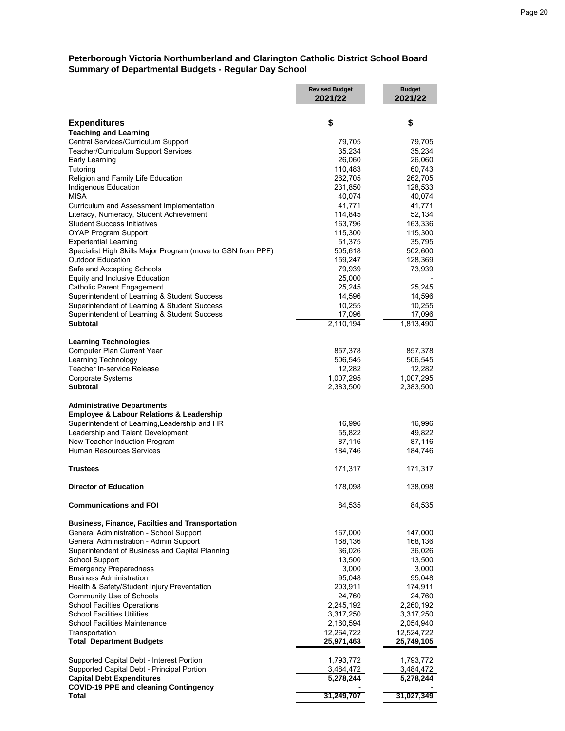#### **Peterborough Victoria Northumberland and Clarington Catholic District School Board Summary of Departmental Budgets - Regular Day School**

|                                                                                              | <b>Revised Budget</b><br>2021/22 | <b>Budget</b><br>2021/22 |
|----------------------------------------------------------------------------------------------|----------------------------------|--------------------------|
| <b>Expenditures</b>                                                                          | \$                               | \$                       |
| <b>Teaching and Learning</b>                                                                 |                                  |                          |
| Central Services/Curriculum Support                                                          | 79,705                           | 79,705                   |
| Teacher/Curriculum Support Services                                                          | 35,234                           | 35,234                   |
| Early Learning                                                                               | 26,060                           | 26,060                   |
| Tutoring                                                                                     | 110,483                          | 60,743                   |
| Religion and Family Life Education                                                           | 262,705                          | 262,705                  |
| Indigenous Education<br><b>MISA</b>                                                          | 231,850<br>40,074                | 128,533<br>40,074        |
| Curriculum and Assessment Implementation                                                     | 41,771                           | 41,771                   |
| Literacy, Numeracy, Student Achievement                                                      | 114,845                          | 52,134                   |
| <b>Student Success Initiatives</b>                                                           | 163,796                          | 163,336                  |
| <b>OYAP Program Support</b>                                                                  | 115,300                          | 115,300                  |
| <b>Experiential Learning</b>                                                                 | 51,375                           | 35,795                   |
| Specialist High Skills Major Program (move to GSN from PPF)                                  | 505,618                          | 502,600                  |
| <b>Outdoor Education</b>                                                                     | 159,247                          | 128,369                  |
| Safe and Accepting Schools                                                                   | 79,939                           | 73,939                   |
| Equity and Inclusive Education<br><b>Catholic Parent Engagement</b>                          | 25,000                           |                          |
| Superintendent of Learning & Student Success                                                 | 25,245<br>14,596                 | 25,245<br>14,596         |
| Superintendent of Learning & Student Success                                                 | 10,255                           | 10,255                   |
| Superintendent of Learning & Student Success                                                 | 17,096                           | 17,096                   |
| <b>Subtotal</b>                                                                              | 2,110,194                        | 1,813,490                |
| <b>Learning Technologies</b>                                                                 |                                  |                          |
| Computer Plan Current Year                                                                   | 857,378                          | 857,378                  |
| Learning Technology                                                                          | 506,545                          | 506,545                  |
| Teacher In-service Release                                                                   | 12,282                           | 12,282                   |
| Corporate Systems                                                                            | 1,007,295                        | 1,007,295                |
| <b>Subtotal</b>                                                                              | 2,383,500                        | 2,383,500                |
| <b>Administrative Departments</b><br><b>Employee &amp; Labour Relations &amp; Leadership</b> |                                  |                          |
| Superintendent of Learning, Leadership and HR                                                | 16,996                           | 16,996                   |
| Leadership and Talent Development                                                            | 55,822                           | 49,822                   |
| New Teacher Induction Program                                                                | 87,116                           | 87,116                   |
| <b>Human Resources Services</b>                                                              | 184,746                          | 184,746                  |
| <b>Trustees</b>                                                                              | 171,317                          | 171,317                  |
| <b>Director of Education</b>                                                                 | 178,098                          | 138,098                  |
|                                                                                              |                                  |                          |
| <b>Communications and FOI</b>                                                                | 84,535                           | 84,535                   |
| <b>Business, Finance, Facilties and Transportation</b>                                       |                                  |                          |
| General Administration - School Support                                                      | 167,000                          | 147,000                  |
| General Administration - Admin Support<br>Superintendent of Business and Capital Planning    | 168,136<br>36,026                | 168,136<br>36,026        |
| <b>School Support</b>                                                                        | 13,500                           | 13,500                   |
| <b>Emergency Preparedness</b>                                                                | 3,000                            | 3,000                    |
| <b>Business Administration</b>                                                               | 95,048                           | 95,048                   |
| Health & Safety/Student Injury Preventation                                                  | 203,911                          | 174,911                  |
| Community Use of Schools                                                                     | 24,760                           | 24,760                   |
| <b>School Facilties Operations</b>                                                           | 2,245,192                        | 2,260,192                |
| <b>School Facilities Utilities</b>                                                           | 3,317,250                        | 3,317,250                |
| <b>School Facilities Maintenance</b>                                                         | 2,160,594                        | 2,054,940                |
| Transportation<br><b>Total Department Budgets</b>                                            | 12,264,722<br>25,971,463         | 12,524,722<br>25,749,105 |
| Supported Capital Debt - Interest Portion                                                    | 1,793,772                        | 1,793,772                |
| Supported Capital Debt - Principal Portion                                                   | 3,484,472                        | 3,484,472                |
| <b>Capital Debt Expenditures</b>                                                             | 5,278,244                        | 5,278,244                |
| <b>COVID-19 PPE and cleaning Contingency</b>                                                 |                                  |                          |
| Total                                                                                        | 31,249,707                       | 31,027,349               |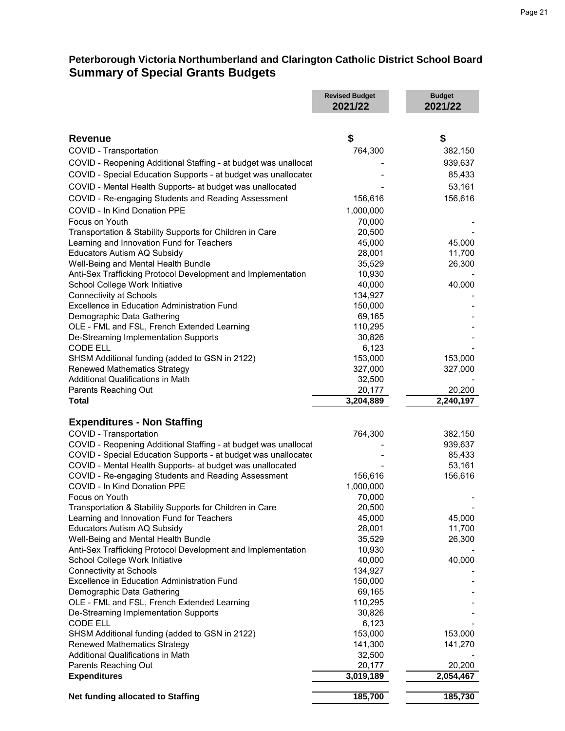|                                                                                      | <b>Revised Budget</b><br>2021/22 | <b>Budget</b><br>2021/22 |
|--------------------------------------------------------------------------------------|----------------------------------|--------------------------|
|                                                                                      |                                  |                          |
| <b>Revenue</b>                                                                       | \$                               | \$                       |
| COVID - Transportation                                                               | 764,300                          | 382,150                  |
| COVID - Reopening Additional Staffing - at budget was unallocat                      |                                  | 939,637                  |
| COVID - Special Education Supports - at budget was unallocated                       |                                  | 85,433                   |
| COVID - Mental Health Supports- at budget was unallocated                            |                                  | 53,161                   |
| COVID - Re-engaging Students and Reading Assessment                                  | 156,616                          | 156,616                  |
| COVID - In Kind Donation PPE                                                         | 1,000,000                        |                          |
| Focus on Youth                                                                       | 70,000                           |                          |
| Transportation & Stability Supports for Children in Care                             | 20,500                           |                          |
| Learning and Innovation Fund for Teachers                                            | 45,000                           | 45,000                   |
| Educators Autism AQ Subsidy                                                          | 28,001                           | 11,700                   |
| Well-Being and Mental Health Bundle                                                  | 35,529                           | 26,300                   |
| Anti-Sex Trafficking Protocol Development and Implementation                         | 10,930                           |                          |
| School College Work Initiative                                                       | 40,000                           | 40,000                   |
| <b>Connectivity at Schools</b>                                                       | 134,927                          |                          |
| Excellence in Education Administration Fund                                          | 150,000                          |                          |
| Demographic Data Gathering                                                           | 69,165                           |                          |
| OLE - FML and FSL, French Extended Learning                                          | 110,295                          |                          |
| De-Streaming Implementation Supports                                                 | 30,826                           |                          |
| <b>CODE ELL</b>                                                                      | 6,123                            |                          |
| SHSM Additional funding (added to GSN in 2122)                                       | 153,000                          | 153,000                  |
| <b>Renewed Mathematics Strategy</b>                                                  | 327,000                          | 327,000                  |
| <b>Additional Qualifications in Math</b>                                             | 32,500                           |                          |
| Parents Reaching Out                                                                 | 20,177                           | 20,200                   |
| <b>Total</b>                                                                         | 3,204,889                        | 2,240,197                |
| <b>Expenditures - Non Staffing</b>                                                   |                                  |                          |
| COVID - Transportation                                                               | 764,300                          | 382,150                  |
| COVID - Reopening Additional Staffing - at budget was unallocat                      |                                  | 939,637                  |
| COVID - Special Education Supports - at budget was unallocated                       |                                  | 85,433                   |
| COVID - Mental Health Supports- at budget was unallocated                            |                                  | 53,161                   |
| COVID - Re-engaging Students and Reading Assessment                                  | 156,616                          | 156,616                  |
| COVID - In Kind Donation PPE                                                         | 1,000,000                        |                          |
| Focus on Youth                                                                       | 70,000                           |                          |
| Transportation & Stability Supports for Children in Care                             | 20,500                           |                          |
| Learning and Innovation Fund for Teachers                                            | 45,000                           | 45,000                   |
| Educators Autism AQ Subsidy                                                          | 28,001                           | 11,700                   |
| Well-Being and Mental Health Bundle                                                  | 35,529                           | 26,300                   |
| Anti-Sex Trafficking Protocol Development and Implementation                         | 10,930                           |                          |
| School College Work Initiative                                                       | 40,000                           | 40,000                   |
| <b>Connectivity at Schools</b><br><b>Excellence in Education Administration Fund</b> | 134,927                          |                          |
|                                                                                      | 150,000<br>69,165                |                          |
| Demographic Data Gathering<br>OLE - FML and FSL, French Extended Learning            | 110,295                          |                          |
| De-Streaming Implementation Supports                                                 | 30,826                           |                          |
| <b>CODE ELL</b>                                                                      | 6,123                            |                          |
| SHSM Additional funding (added to GSN in 2122)                                       | 153,000                          | 153,000                  |
| <b>Renewed Mathematics Strategy</b>                                                  | 141,300                          | 141,270                  |
| <b>Additional Qualifications in Math</b>                                             | 32,500                           |                          |
| Parents Reaching Out                                                                 | 20,177                           | 20,200                   |
| <b>Expenditures</b>                                                                  | 3,019,189                        | 2,054,467                |
| Net funding allocated to Staffing                                                    | 185,700                          | 185,730                  |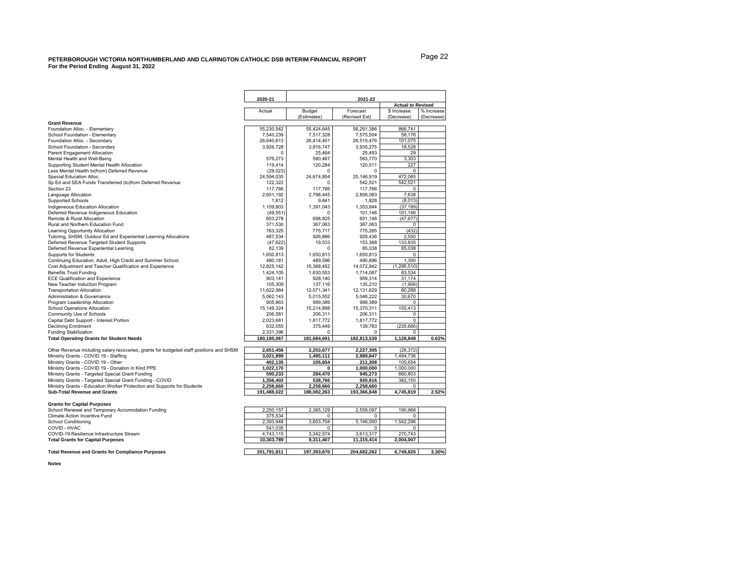<span id="page-21-0"></span>

|                                                                                         | 2020-21     |             | 2021-22       |                          |            |  |  |
|-----------------------------------------------------------------------------------------|-------------|-------------|---------------|--------------------------|------------|--|--|
|                                                                                         |             |             |               | <b>Actual to Revised</b> |            |  |  |
|                                                                                         | Actual      | Budget      | \$ Increase   | % Increase               |            |  |  |
|                                                                                         |             | (Estimates) | (Revised Est) | (Decrease)               | (Decrease) |  |  |
| <b>Grant Revenue</b>                                                                    |             |             |               |                          |            |  |  |
| Foundation Alloc. - Elementary                                                          | 55,230,542  | 55,424,645  | 56,291,386    | 866,741                  |            |  |  |
| School Foundation - Elementary                                                          | 7.540.239   | 7.517.328   | 7.575.504     | 58,176                   |            |  |  |
| Foundation Alloc. - Secondary                                                           | 26.640.613  | 26,414,401  | 26.515.476    | 101,075                  |            |  |  |
| School Foundation - Secondary                                                           | 3,926,728   | 3,916,747   | 3,935,275     | 18,528                   |            |  |  |
| Parent Engagement Allocation                                                            | $\Omega$    | 25,464      | 25,493        | 29                       |            |  |  |
| Mental Health and Well-Being                                                            | 576,273     | 580,467     | 583,770       | 3,303                    |            |  |  |
| Supporting Student Mental Health Allocation                                             | 119,414     | 120,284     | 120,511       | 227                      |            |  |  |
| Less Mental Health to(from) Deferred Revenue                                            | (29, 023)   | 0           | $\mathbf 0$   | 0                        |            |  |  |
| Special Education Alloc.                                                                | 24,594,035  | 24,674,854  | 25.146.919    | 472,065                  |            |  |  |
| Sp Ed and SEA Funds Transferred (to)from Deferred Revenue                               | 122.322     |             | 542.521       | 542,521                  |            |  |  |
| Section 23                                                                              | 117,766     | 117,766     | 117,766       | 0                        |            |  |  |
| Language Allocation                                                                     | 2,651,192   | 2,798,445   | 2,806,083     | 7,638                    |            |  |  |
| <b>Supported Schools</b>                                                                | 1,812       | 9,841       | 1,828         | (8,013)                  |            |  |  |
| Indigeneous Education Allocation                                                        | 1,109,803   | 1,391,043   | 1,353,844     | (37, 199)                |            |  |  |
| Deferred Revenue Indigeneous Education                                                  | (49, 551)   | 0           | 101,146       | 101,146                  |            |  |  |
| Remote & Rural Allocation                                                               | 653,278     | 698,825     | 651,148       | (47, 677)                |            |  |  |
| Rural and Northern Education Fund                                                       | 371,530     | 367,063     | 367,063       | 0                        |            |  |  |
| Learning Opportunity Allocation                                                         | 763,325     | 775,717     | 775,285       | (432)                    |            |  |  |
| Tutoring, SHSM, Outdoor Ed and Experiential Learning Allocations                        | 487,534     | 926.886     | 929,436       | 2,550                    |            |  |  |
| Deferred Revenue Targeted Student Supports                                              | (47, 622)   | 19.533      | 153.368       | 133,835                  |            |  |  |
| Deferred Revenue Experiential Learning                                                  | 82,139      |             | 85.038        | 85,038                   |            |  |  |
| Supports for Students                                                                   | 1,650,813   | 1,650,813   | 1,650,813     | 0                        |            |  |  |
| Continuing Education, Adult, High Credit and Summer School                              | 480,181     | 489,596     | 490,896       | 1,300                    |            |  |  |
| Cost Adjustment and Teacher Qualification and Experience                                | 12,825,142  | 15,368,452  | 14,072,942    | (1, 295, 510)            |            |  |  |
| <b>Benefits Trust Funding</b>                                                           | 1.424.105   | 1.630.553   | 1.714.087     | 83.534                   |            |  |  |
| <b>ECE Qualification and Experience</b>                                                 | 903.141     | 928.140     | 959.314       | 31.174                   |            |  |  |
| New Teacher Induction Program                                                           | 105.309     | 137.116     | 135,210       | (1,906)                  |            |  |  |
| <b>Transportation Allocation</b>                                                        | 11,622,984  | 12,071,341  | 12,131,629    | 60,288                   |            |  |  |
| Administration & Governance                                                             | 5,062,143   | 5,015,552   | 5,046,222     | 30,670                   |            |  |  |
| Program Leadership Allocation                                                           | 905,863     | 999,389     | 999,389       | 0                        |            |  |  |
| <b>School Operations Allocation</b>                                                     | 15,149,324  | 15,214,898  | 15,370,311    | 155,413                  |            |  |  |
| Community Use of Schools                                                                | 206,581     | 206.311     | 206,311       | 0                        |            |  |  |
| Capital Debt Support - Interest Portion                                                 | 2,023,681   | 1,817,772   | 1,817,772     | $\Omega$                 |            |  |  |
|                                                                                         | 632,055     | 375,449     | 139,783       | (235, 666)               |            |  |  |
| <b>Declining Enrolment</b>                                                              | 2,331,396   | n           | 0             | 0                        |            |  |  |
| <b>Funding Stabilization</b><br><b>Total Operating Grants for Student Needs</b>         | 180,185,067 | 181,684,691 | 182,813,539   | 1,128,848                | 0.62%      |  |  |
|                                                                                         |             |             |               |                          |            |  |  |
| Other Revenue including salary recoveries, grants for budgeted staff positions and SHSM | 2,651,456   | 2,253,677   | 2,227,305     | (26, 372)                |            |  |  |
| Ministry Grants - COVID 19 - Staffing                                                   | 3,021,899   | 1,495,111   | 2,989,847     | 1,494,736                |            |  |  |
| Ministry Grants - COVID 19 - Other                                                      | 402,135     | 105,654     | 211,308       | 105,654                  |            |  |  |
| Ministry Grants - COVID 19 - Donation in Kind PPE                                       | 1,022,170   | n           | 1,000,000     | 1,000,000                |            |  |  |
| Ministry Grants - Targeted Special Grant Funding                                        | 590,233     | 284,470     | 945,273       | 660,803                  |            |  |  |
| Ministry Grants - Targeted Special Grant Funding - COVID                                | 1,356,402   | 538.766     | 920.916       | 382.150                  |            |  |  |
| Ministry Grants - Education Worker Protection and Supports for Students                 | 2,258,660   | 2,258,660   | 2,258,660     | 0                        |            |  |  |
| <b>Sub-Total Revenue and Grants</b>                                                     | 191.488.022 | 188,082,263 | 193,366,848   | 4,745,819                | 2.52%      |  |  |
| <b>Grants for Capital Purposes</b>                                                      |             |             |               |                          |            |  |  |
| School Renewal and Temporary Accomodation Funding                                       | 2,250,157   | 2,365,129   | 2,556,097     | 190,968                  |            |  |  |
| Climate Action Incentive Fund                                                           | 375,534     | 0           | 0             | $\Omega$                 |            |  |  |
| <b>School Conditioning</b>                                                              | 2.393.948   | 3,603,704   | 5,146,000     | 1,542,296                |            |  |  |
| COVID - HVAC                                                                            | 541,035     | $\Omega$    | 0             | 0                        |            |  |  |
| COVID-19 Resilience Infrastructure Stream                                               | 4,743,115   | 3,342,574   | 3,613,317     | 270,743                  |            |  |  |
| <b>Total Grants for Capital Purposes</b>                                                | 10,303,789  | 9,311,407   | 11,315,414    | 2,004,007                |            |  |  |

**Total Revenue and Grants for Compliance Purposes 2011,812,911,811,811,811,811,811,811,811,811,826** 

|  | 201.791.811 | 197.393.670 | 204.682.262 | 6.749.826 | 3.30% |
|--|-------------|-------------|-------------|-----------|-------|
|--|-------------|-------------|-------------|-----------|-------|